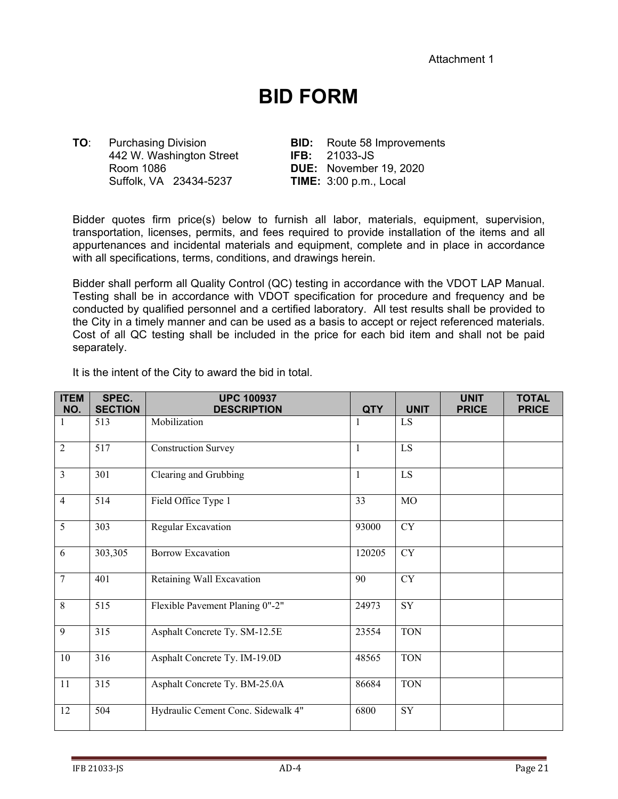## **BID FORM**

**TO**: Purchasing Division **BID:** Route 58 Improvements 442 W. Washington Street **IFB:** 21033-JS Room 1086 **DUE:** November 19, 2020 Suffolk, VA 23434-5237 **TIME:** 3:00 p.m., Local

Bidder quotes firm price(s) below to furnish all labor, materials, equipment, supervision, transportation, licenses, permits, and fees required to provide installation of the items and all appurtenances and incidental materials and equipment, complete and in place in accordance with all specifications, terms, conditions, and drawings herein.

Bidder shall perform all Quality Control (QC) testing in accordance with the VDOT LAP Manual. Testing shall be in accordance with VDOT specification for procedure and frequency and be conducted by qualified personnel and a certified laboratory. All test results shall be provided to the City in a timely manner and can be used as a basis to accept or reject referenced materials. Cost of all QC testing shall be included in the price for each bid item and shall not be paid separately.

It is the intent of the City to award the bid in total.

| <b>ITEM</b><br>NO. | SPEC.<br><b>SECTION</b> | <b>UPC 100937</b><br><b>DESCRIPTION</b> | <b>QTY</b>   | <b>UNIT</b> | <b>UNIT</b><br><b>PRICE</b> | <b>TOTAL</b><br><b>PRICE</b> |
|--------------------|-------------------------|-----------------------------------------|--------------|-------------|-----------------------------|------------------------------|
|                    | 513                     | Mobilization                            |              | LS          |                             |                              |
| $\overline{2}$     | 517                     | <b>Construction Survey</b>              | $\mathbf{1}$ | LS          |                             |                              |
| $\overline{3}$     | 301                     | Clearing and Grubbing                   | $\mathbf{1}$ | LS          |                             |                              |
| $\overline{4}$     | 514                     | Field Office Type 1                     | 33           | MO          |                             |                              |
| 5                  | 303                     | Regular Excavation                      | 93000        | CY          |                             |                              |
| 6                  | 303,305                 | <b>Borrow Excavation</b>                | 120205       | CY          |                             |                              |
| $\overline{7}$     | 401                     | Retaining Wall Excavation               | 90           | CY          |                             |                              |
| 8                  | 515                     | Flexible Pavement Planing 0"-2"         | 24973        | SY          |                             |                              |
| 9                  | 315                     | Asphalt Concrete Ty. SM-12.5E           | 23554        | <b>TON</b>  |                             |                              |
| 10                 | 316                     | Asphalt Concrete Ty. IM-19.0D           | 48565        | <b>TON</b>  |                             |                              |
| 11                 | 315                     | Asphalt Concrete Ty. BM-25.0A           | 86684        | <b>TON</b>  |                             |                              |
| 12                 | 504                     | Hydraulic Cement Conc. Sidewalk 4"      | 6800         | SY          |                             |                              |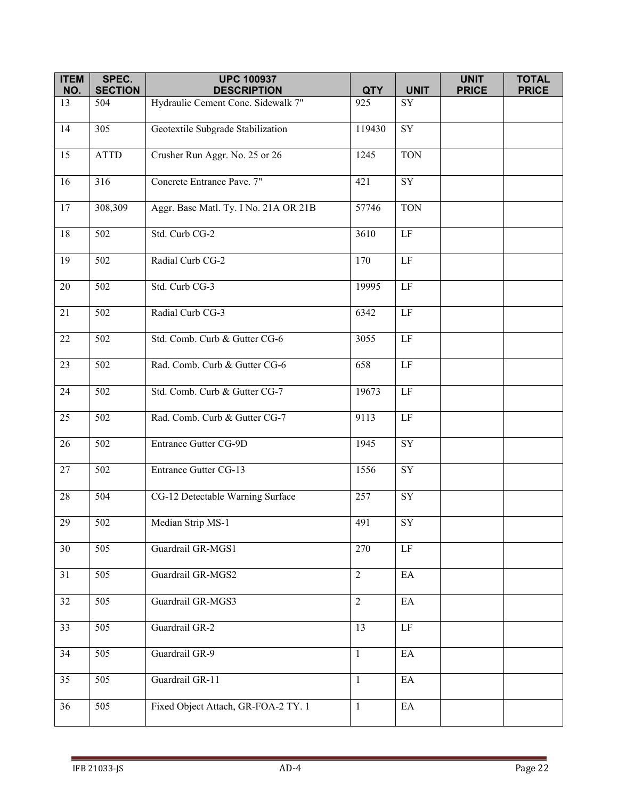| <b>ITEM</b>     | SPEC.            | <b>UPC 100937</b>                     |                |                        | <b>UNIT</b>  | <b>TOTAL</b> |
|-----------------|------------------|---------------------------------------|----------------|------------------------|--------------|--------------|
| NO.             | <b>SECTION</b>   | <b>DESCRIPTION</b>                    | <b>QTY</b>     | <b>UNIT</b>            | <b>PRICE</b> | <b>PRICE</b> |
| 13              | 504              | Hydraulic Cement Conc. Sidewalk 7"    | 925            | SY                     |              |              |
| 14              | 305              | Geotextile Subgrade Stabilization     | 119430         | $\overline{SY}$        |              |              |
| 15              | <b>ATTD</b>      | Crusher Run Aggr. No. 25 or 26        | 1245           | <b>TON</b>             |              |              |
| 16              | 316              | Concrete Entrance Pave. 7"            | 421            | SY                     |              |              |
| 17              | 308,309          | Aggr. Base Matl. Ty. I No. 21A OR 21B | 57746          | <b>TON</b>             |              |              |
| $18\,$          | 502              | Std. Curb CG-2                        | 3610           | $\rm LF$               |              |              |
| 19              | $\overline{502}$ | Radial Curb CG-2                      | 170            | $\rm LF$               |              |              |
| $\overline{20}$ | 502              | Std. Curb CG-3                        | 19995          | LF                     |              |              |
| 21              | 502              | Radial Curb CG-3                      | 6342           | $\rm LF$               |              |              |
| 22              | 502              | Std. Comb. Curb & Gutter CG-6         | 3055           | $\rm LF$               |              |              |
| 23              | 502              | Rad. Comb. Curb & Gutter CG-6         | 658            | $\rm LF$               |              |              |
| 24              | 502              | Std. Comb. Curb & Gutter CG-7         | 19673          | $\rm LF$               |              |              |
| 25              | $\overline{502}$ | Rad. Comb. Curb & Gutter CG-7         | 9113           | $\rm LF$               |              |              |
| $\overline{26}$ | 502              | Entrance Gutter CG-9D                 | 1945           | $\overline{\text{SY}}$ |              |              |
| 27              | 502              | <b>Entrance Gutter CG-13</b>          | 1556           | ${\rm SY}$             |              |              |
| $28\,$          | 504              | CG-12 Detectable Warning Surface      | 257            | SY                     |              |              |
| $29\,$          | 502              | Median Strip MS-1                     | 491            | SY                     |              |              |
| 30              | 505              | Guardrail GR-MGS1                     | 270            | $\rm LF$               |              |              |
| 31              | 505              | Guardrail GR-MGS2                     | $\overline{2}$ | EA                     |              |              |
| 32              | 505              | Guardrail GR-MGS3                     | $\overline{2}$ | EA                     |              |              |
| 33              | 505              | Guardrail GR-2                        | 13             | $\rm LF$               |              |              |
| 34              | 505              | Guardrail GR-9                        | $\mathbf{1}$   | EA                     |              |              |
| 35              | 505              | Guardrail GR-11                       | $\mathbf{1}$   | $\rm EA$               |              |              |
| 36              | 505              | Fixed Object Attach, GR-FOA-2 TY. 1   | $\mathbf{1}$   | EA                     |              |              |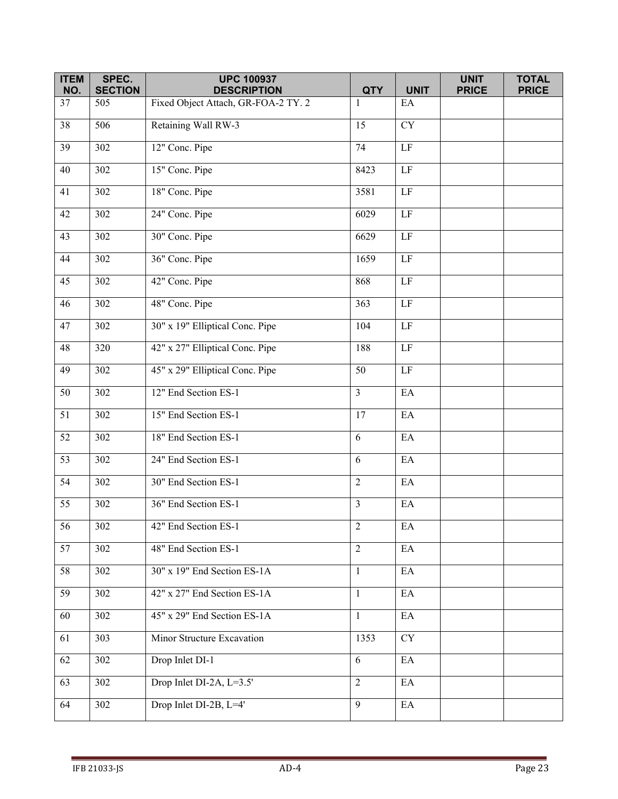| <b>ITEM</b><br>NO. | SPEC.<br><b>SECTION</b> | <b>UPC 100937</b><br><b>DESCRIPTION</b> | <b>QTY</b>     | <b>UNIT</b>                | <b>UNIT</b><br><b>PRICE</b> | <b>TOTAL</b><br><b>PRICE</b> |
|--------------------|-------------------------|-----------------------------------------|----------------|----------------------------|-----------------------------|------------------------------|
| 37                 | 505                     | Fixed Object Attach, GR-FOA-2 TY. 2     | 1              | EA                         |                             |                              |
| 38                 | 506                     | Retaining Wall RW-3                     | 15             | <b>CY</b>                  |                             |                              |
| 39                 | 302                     | 12" Conc. Pipe                          | 74             | $\rm LF$                   |                             |                              |
| 40                 | 302                     | 15" Conc. Pipe                          | 8423           | $\rm LF$                   |                             |                              |
| 41                 | 302                     | 18" Conc. Pipe                          | 3581           | LF                         |                             |                              |
| 42                 | 302                     | 24" Conc. Pipe                          | 6029           | $\rm LF$                   |                             |                              |
| 43                 | 302                     | 30" Conc. Pipe                          | 6629           | $\rm LF$                   |                             |                              |
| 44                 | $\overline{302}$        | 36" Conc. Pipe                          | 1659           | LF                         |                             |                              |
| $\overline{45}$    | $\overline{302}$        | 42" Conc. Pipe                          | 868            | LF                         |                             |                              |
| 46                 | 302                     | 48" Conc. Pipe                          | 363            | $\rm LF$                   |                             |                              |
| 47                 | 302                     | 30" x 19" Elliptical Conc. Pipe         | 104            | LF                         |                             |                              |
| 48                 | 320                     | 42" x 27" Elliptical Conc. Pipe         | 188            | LF                         |                             |                              |
| 49                 | 302                     | 45" x 29" Elliptical Conc. Pipe         | 50             | $\rm LF$                   |                             |                              |
| 50                 | 302                     | 12" End Section ES-1                    | $\overline{3}$ | EA                         |                             |                              |
| 51                 | 302                     | 15" End Section ES-1                    | 17             | EA                         |                             |                              |
| 52                 | 302                     | 18" End Section ES-1                    | 6              | EA                         |                             |                              |
| 53                 | 302                     | 24" End Section ES-1                    | 6              | EA                         |                             |                              |
| 54                 | 302                     | 30" End Section ES-1                    | $\overline{2}$ | EA                         |                             |                              |
| 55                 | 302                     | 36" End Section ES-1                    | $\overline{3}$ | $\rm EA$                   |                             |                              |
| $\overline{56}$    | 302                     | 42" End Section ES-1                    | 2              | $\rm EA$                   |                             |                              |
| 57                 | 302                     | 48" End Section ES-1                    | $\overline{2}$ | $\mathop{\rm EA}\nolimits$ |                             |                              |
| 58                 | 302                     | 30" x 19" End Section ES-1A             | $\mathbf{1}$   | EA                         |                             |                              |
| 59                 | 302                     | 42" x 27" End Section ES-1A             | $\mathbf{1}$   | EA                         |                             |                              |
| 60                 | $\overline{302}$        | 45" x 29" End Section ES-1A             | $\mathbf{1}$   | $\mathop{\rm EA}\nolimits$ |                             |                              |
| 61                 | 303                     | Minor Structure Excavation              | 1353           | $\overline{CY}$            |                             |                              |
| 62                 | 302                     | Drop Inlet DI-1                         | 6              | EA                         |                             |                              |
| $\overline{63}$    | 302                     | Drop Inlet DI-2A, L=3.5'                | $\overline{2}$ | $\mathop{\rm EA}\nolimits$ |                             |                              |
| 64                 | 302                     | Drop Inlet DI-2B, L=4'                  | 9              | EA                         |                             |                              |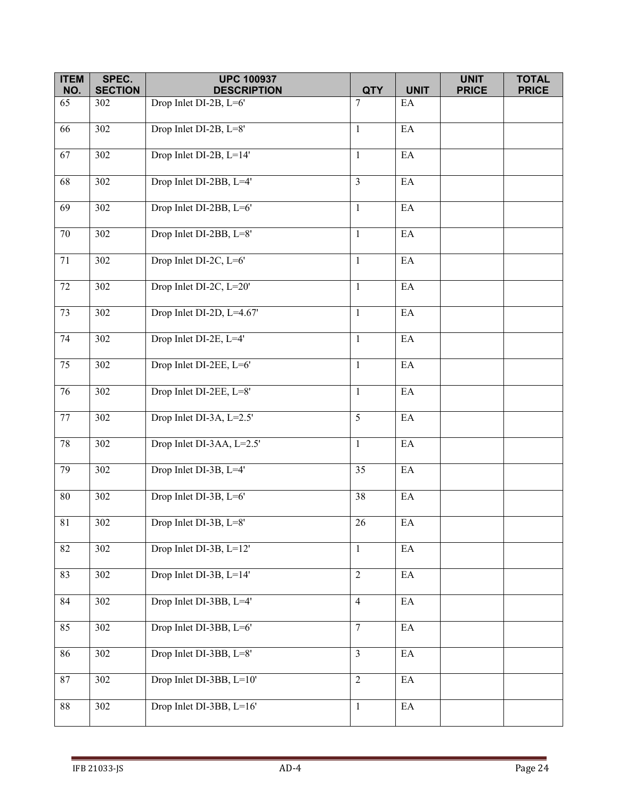| <b>ITEM</b><br>NO. | SPEC.<br><b>SECTION</b> | <b>UPC 100937</b><br><b>DESCRIPTION</b> | <b>QTY</b>     | <b>UNIT</b>                | <b>UNIT</b><br><b>PRICE</b> | <b>TOTAL</b><br><b>PRICE</b> |
|--------------------|-------------------------|-----------------------------------------|----------------|----------------------------|-----------------------------|------------------------------|
| 65                 | 302                     | Drop Inlet DI-2B, L=6'                  | 7              | EA                         |                             |                              |
| $\overline{66}$    | 302                     | Drop Inlet DI-2B, L=8'                  | $\mathbf{1}$   | $\mathop{\rm EA}\nolimits$ |                             |                              |
|                    |                         |                                         |                |                            |                             |                              |
| 67                 | 302                     | Drop Inlet DI-2B, L=14'                 | $\mathbf{1}$   | $\mathop{\rm EA}\nolimits$ |                             |                              |
| 68                 | 302                     | Drop Inlet DI-2BB, L=4'                 | $\overline{3}$ | EA                         |                             |                              |
| 69                 | 302                     | Drop Inlet DI-2BB, L=6'                 | $\mathbf{1}$   | $\mathop{\rm EA}\nolimits$ |                             |                              |
| $70\,$             | 302                     | Drop Inlet DI-2BB, L=8'                 | $\mathbf{1}$   | $\mathop{\rm EA}\nolimits$ |                             |                              |
| 71                 | 302                     | Drop Inlet DI-2C, L=6'                  | $\mathbf{1}$   | EA                         |                             |                              |
| $\overline{72}$    | 302                     | Drop Inlet DI-2C, L=20'                 | $\mathbf{1}$   | EA                         |                             |                              |
| 73                 | 302                     | Drop Inlet DI-2D, L=4.67'               | $\mathbf{1}$   | $\mathop{\rm EA}\nolimits$ |                             |                              |
| 74                 | 302                     | Drop Inlet DI-2E, L=4'                  | $\mathbf{1}$   | $\mathop{\rm EA}\nolimits$ |                             |                              |
| 75                 | 302                     | Drop Inlet DI-2EE, L=6'                 | $\mathbf{1}$   | $\mathop{\rm EA}\nolimits$ |                             |                              |
| 76                 | 302                     | Drop Inlet DI-2EE, L=8'                 | $\mathbf{1}$   | EA                         |                             |                              |
| 77                 | 302                     | Drop Inlet DI-3A, L=2.5'                | 5              | EA                         |                             |                              |
| 78                 | 302                     | Drop Inlet DI-3AA, L=2.5'               | $\mathbf{1}$   | $\mathop{\rm EA}\nolimits$ |                             |                              |
| 79                 | 302                     | Drop Inlet DI-3B, L=4'                  | 35             | $\mathop{\rm EA}\nolimits$ |                             |                              |
| $80\,$             | 302                     | Drop Inlet DI-3B, L=6'                  | 38             | EA                         |                             |                              |
| $81\,$             | 302                     | Drop Inlet DI-3B, L=8'                  | 26             | $\mathop{\rm EA}\nolimits$ |                             |                              |
| 82                 | 302                     | Drop Inlet DI-3B, L=12'                 | $\mathbf{1}$   | $\mathop{\rm EA}\nolimits$ |                             |                              |
| 83                 | 302                     | Drop Inlet DI-3B, L=14'                 | $\overline{2}$ | $\rm EA$                   |                             |                              |
| 84                 | 302                     | Drop Inlet DI-3BB, L=4'                 | $\overline{4}$ | $\mathop{\rm EA}\nolimits$ |                             |                              |
| 85                 | 302                     | Drop Inlet DI-3BB, L=6'                 | $\overline{7}$ | $\mathop{\rm EA}\nolimits$ |                             |                              |
| 86                 | 302                     | Drop Inlet DI-3BB, L=8'                 | $\overline{3}$ | $\rm EA$                   |                             |                              |
| 87                 | 302                     | Drop Inlet DI-3BB, L=10'                | $\overline{2}$ | $\mathop{\rm EA}\nolimits$ |                             |                              |
| 88                 | 302                     | Drop Inlet DI-3BB, L=16'                | $\mathbf{1}$   | $\mathop{\rm EA}\nolimits$ |                             |                              |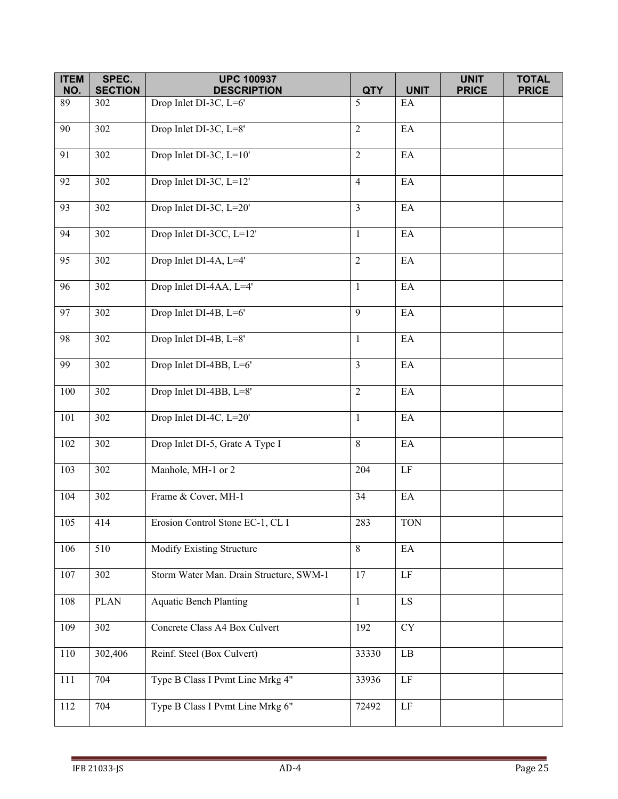| <b>ITEM</b><br>NO. | SPEC.<br><b>SECTION</b> | <b>UPC 100937</b><br><b>DESCRIPTION</b> | <b>QTY</b>     | <b>UNIT</b>                | <b>UNIT</b><br><b>PRICE</b> | <b>TOTAL</b><br><b>PRICE</b> |
|--------------------|-------------------------|-----------------------------------------|----------------|----------------------------|-----------------------------|------------------------------|
| 89                 | 302                     | Drop Inlet DI-3C, L=6'                  | 5              | EA                         |                             |                              |
| 90                 | 302                     | Drop Inlet DI-3C, L=8'                  | 2              | EA                         |                             |                              |
| 91                 | 302                     | Drop Inlet DI-3C, L=10'                 | $\overline{2}$ | EA                         |                             |                              |
| 92                 | 302                     | Drop Inlet DI-3C, L=12'                 | $\overline{4}$ | EA                         |                             |                              |
| 93                 | 302                     | Drop Inlet DI-3C, L=20'                 | $\overline{3}$ | $\rm EA$                   |                             |                              |
| 94                 | 302                     | Drop Inlet DI-3CC, L=12'                | $\mathbf{1}$   | EA                         |                             |                              |
| 95                 | 302                     | Drop Inlet DI-4A, L=4'                  | $\overline{2}$ | $\mathop{\rm EA}\nolimits$ |                             |                              |
| 96                 | 302                     | Drop Inlet DI-4AA, L=4'                 | $\mathbf{1}$   | $\mathop{\rm EA}\nolimits$ |                             |                              |
| 97                 | 302                     | Drop Inlet DI-4B, L=6'                  | 9              | EA                         |                             |                              |
| 98                 | 302                     | Drop Inlet DI-4B, L=8'                  | $\mathbf{1}$   | EA                         |                             |                              |
| 99                 | 302                     | Drop Inlet DI-4BB, L=6'                 | $\overline{3}$ | $\rm EA$                   |                             |                              |
| 100                | 302                     | Drop Inlet DI-4BB, L=8'                 | $\overline{2}$ | EA                         |                             |                              |
| 101                | 302                     | Drop Inlet DI-4C, L=20'                 | $\mathbf{1}$   | $\mathop{\rm EA}\nolimits$ |                             |                              |
| 102                | 302                     | Drop Inlet DI-5, Grate A Type I         | 8              | $\mathop{\rm EA}\nolimits$ |                             |                              |
| 103                | 302                     | Manhole, MH-1 or 2                      | 204            | $\rm LF$                   |                             |                              |
| 104                | 302                     | Frame & Cover, MH-1                     | 34             | EA                         |                             |                              |
| 105                | 414                     | Erosion Control Stone EC-1, CL I        | 283            | <b>TON</b>                 |                             |                              |
| 106                | 510                     | Modify Existing Structure               | 8              | EA                         |                             |                              |
| 107                | 302                     | Storm Water Man. Drain Structure, SWM-1 | 17             | $\rm LF$                   |                             |                              |
| 108                | <b>PLAN</b>             | <b>Aquatic Bench Planting</b>           | $\mathbf{1}$   | $\overline{LS}$            |                             |                              |
| 109                | 302                     | Concrete Class A4 Box Culvert           | 192            | <b>CY</b>                  |                             |                              |
| 110                | 302,406                 | Reinf. Steel (Box Culvert)              | 33330          | $\rm LB$                   |                             |                              |
| 111                | 704                     | Type B Class I Pvmt Line Mrkg 4"        | 33936          | LF                         |                             |                              |
| 112                | 704                     | Type B Class I Pvmt Line Mrkg 6"        | 72492          | $\rm LF$                   |                             |                              |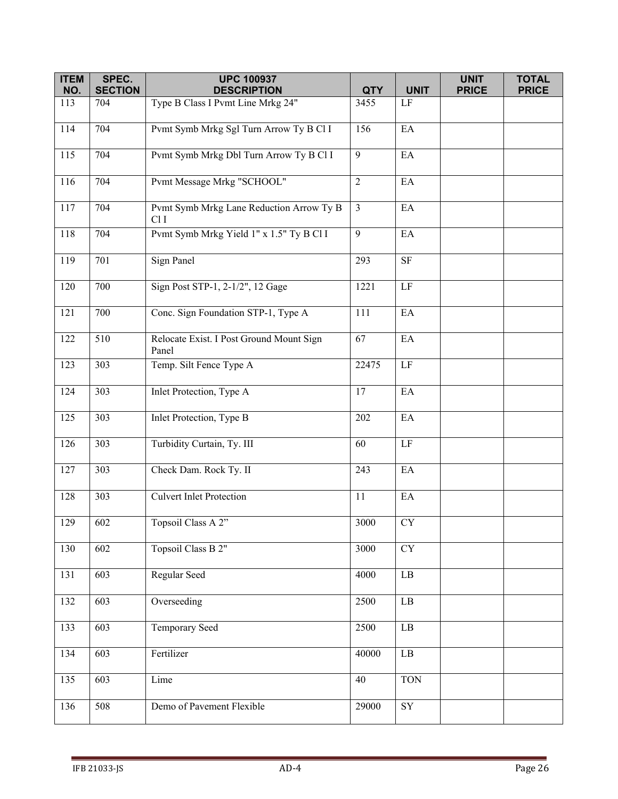| <b>ITEM</b> | SPEC.            | <b>UPC 100937</b>                                 |                  |                        | <b>UNIT</b>  | <b>TOTAL</b> |
|-------------|------------------|---------------------------------------------------|------------------|------------------------|--------------|--------------|
| NO.         | <b>SECTION</b>   | <b>DESCRIPTION</b>                                | <b>QTY</b>       | <b>UNIT</b>            | <b>PRICE</b> | <b>PRICE</b> |
| 113         | 704              | Type B Class I Pvmt Line Mrkg 24"                 | 3455             | LF                     |              |              |
| 114         | 704              | Pvmt Symb Mrkg Sgl Turn Arrow Ty B Cl I           | 156              | EA                     |              |              |
| 115         | 704              | Pvmt Symb Mrkg Dbl Turn Arrow Ty B Cl I           | 9                | EA                     |              |              |
| 116         | 704              | Pvmt Message Mrkg "SCHOOL"                        | $\sqrt{2}$       | EA                     |              |              |
| 117         | 704              | Pvmt Symb Mrkg Lane Reduction Arrow Ty B<br>ClI   | $\mathfrak{Z}$   | EA                     |              |              |
| 118         | 704              | Pvmt Symb Mrkg Yield 1" x 1.5" Ty B Cl I          | 9                | EA                     |              |              |
| 119         | 701              | <b>Sign Panel</b>                                 | 293              | $\rm SF$               |              |              |
| 120         | 700              | Sign Post STP-1, 2-1/2", 12 Gage                  | 1221             | $\rm LF$               |              |              |
| 121         | 700              | Conc. Sign Foundation STP-1, Type A               | 111              | EA                     |              |              |
| 122         | 510              | Relocate Exist. I Post Ground Mount Sign<br>Panel | 67               | EA                     |              |              |
| 123         | $\overline{3}03$ | Temp. Silt Fence Type A                           | 22475            | $\rm LF$               |              |              |
| 124         | 303              | Inlet Protection, Type A                          | 17               | EA                     |              |              |
| 125         | 303              | Inlet Protection, Type B                          | 202              | EA                     |              |              |
| 126         | 303              | Turbidity Curtain, Ty. III                        | 60               | $\rm LF$               |              |              |
| 127         | 303              | Check Dam. Rock Ty. II                            | 243              | EA                     |              |              |
| 128         | 303              | <b>Culvert Inlet Protection</b>                   | 11               | EA                     |              |              |
| 129         | 602              | Topsoil Class A 2"                                | 3000             | ${\rm CY}$             |              |              |
| 130         | 602              | Topsoil Class B 2"                                | $\frac{1}{3000}$ | $\overline{\text{CY}}$ |              |              |
| 131         | 603              | Regular Seed                                      | 4000             | LB                     |              |              |
| 132         | 603              | Overseeding                                       | 2500             | $\rm LB$               |              |              |
| 133         | 603              | Temporary Seed                                    | 2500             | $\rm LB$               |              |              |
| 134         | 603              | Fertilizer                                        | 40000            | $\rm LB$               |              |              |
| 135         | 603              | Lime                                              | 40               | <b>TON</b>             |              |              |
| 136         | 508              | Demo of Pavement Flexible                         | 29000            | SY                     |              |              |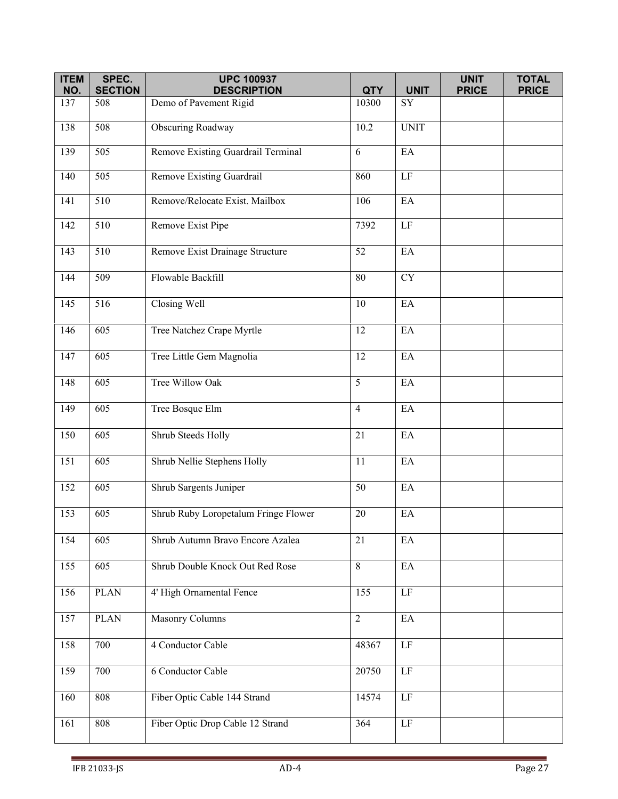| <b>ITEM</b> | SPEC.            | <b>UPC 100937</b>                    |                |                            | <b>UNIT</b>  | <b>TOTAL</b> |
|-------------|------------------|--------------------------------------|----------------|----------------------------|--------------|--------------|
| NO.         | <b>SECTION</b>   | <b>DESCRIPTION</b>                   | <b>QTY</b>     | <b>UNIT</b>                | <b>PRICE</b> | <b>PRICE</b> |
| 137         | 508              | Demo of Pavement Rigid               | 10300          | SY                         |              |              |
| 138         | 508              | <b>Obscuring Roadway</b>             | 10.2           | <b>UNIT</b>                |              |              |
| 139         | $\overline{505}$ | Remove Existing Guardrail Terminal   | 6              | EA                         |              |              |
| 140         | 505              | Remove Existing Guardrail            | 860            | $\rm LF$                   |              |              |
| 141         | 510              | Remove/Relocate Exist. Mailbox       | 106            | EA                         |              |              |
| 142         | $\overline{510}$ | Remove Exist Pipe                    | 7392           | $\rm LF$                   |              |              |
| 143         | 510              | Remove Exist Drainage Structure      | 52             | EA                         |              |              |
| 144         | 509              | Flowable Backfill                    | 80             | <b>CY</b>                  |              |              |
| 145         | 516              | Closing Well                         | 10             | EA                         |              |              |
| 146         | 605              | Tree Natchez Crape Myrtle            | 12             | EA                         |              |              |
| 147         | 605              | Tree Little Gem Magnolia             | 12             | EA                         |              |              |
| 148         | 605              | Tree Willow Oak                      | 5              | EA                         |              |              |
| 149         | 605              | Tree Bosque Elm                      | $\overline{4}$ | EA                         |              |              |
| 150         | 605              | Shrub Steeds Holly                   | 21             | EA                         |              |              |
| 151         | 605              | Shrub Nellie Stephens Holly          | 11             | EA                         |              |              |
| 152         | 605              | Shrub Sargents Juniper               | 50             | EA                         |              |              |
| 153         | 605              | Shrub Ruby Loropetalum Fringe Flower | 20             | EA                         |              |              |
| 154         | 605              | Shrub Autumn Bravo Encore Azalea     | 21             | EA                         |              |              |
| 155         | 605              | Shrub Double Knock Out Red Rose      | 8              | $\mathop{\rm EA}\nolimits$ |              |              |
| 156         | <b>PLAN</b>      | 4' High Ornamental Fence             | 155            | $\rm LF$                   |              |              |
| 157         | <b>PLAN</b>      | <b>Masonry Columns</b>               | $\overline{2}$ | $\mathop{\rm EA}\nolimits$ |              |              |
| 158         | 700              | 4 Conductor Cable                    | 48367          | $\rm LF$                   |              |              |
| 159         | 700              | 6 Conductor Cable                    | 20750          | $\rm LF$                   |              |              |
| 160         | 808              | Fiber Optic Cable 144 Strand         | 14574          | LF                         |              |              |
| 161         | 808              | Fiber Optic Drop Cable 12 Strand     | 364            | $\rm LF$                   |              |              |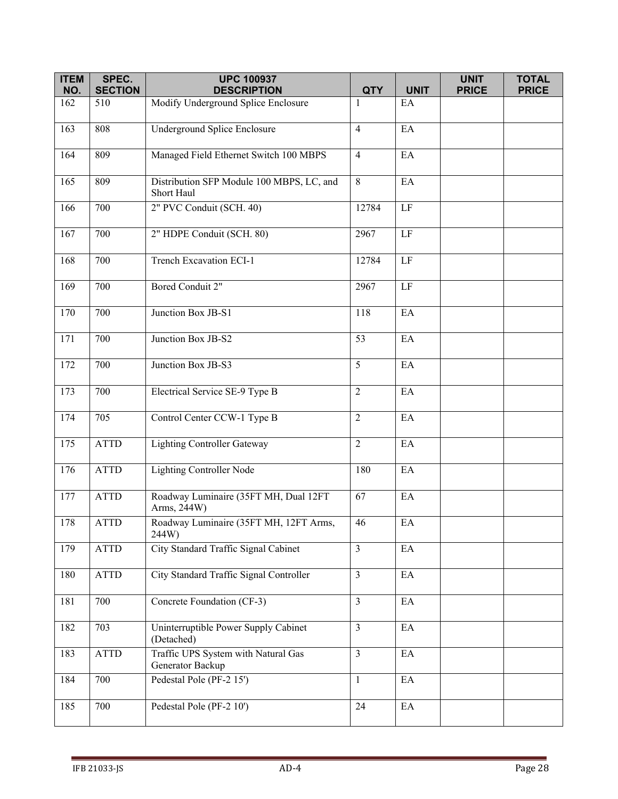| <b>ITEM</b> | SPEC.          | <b>UPC 100937</b>                                       |                |                            | <b>UNIT</b>  | <b>TOTAL</b> |
|-------------|----------------|---------------------------------------------------------|----------------|----------------------------|--------------|--------------|
| NO.         | <b>SECTION</b> | <b>DESCRIPTION</b>                                      | <b>QTY</b>     | <b>UNIT</b>                | <b>PRICE</b> | <b>PRICE</b> |
| 162         | 510            | Modify Underground Splice Enclosure                     | 1              | EA                         |              |              |
| 163         | 808            | Underground Splice Enclosure                            | $\overline{4}$ | EA                         |              |              |
| 164         | 809            | Managed Field Ethernet Switch 100 MBPS                  | $\overline{4}$ | EA                         |              |              |
| 165         | 809            | Distribution SFP Module 100 MBPS, LC, and<br>Short Haul | 8              | EA                         |              |              |
| 166         | 700            | 2" PVC Conduit (SCH. 40)                                | 12784          | $\rm LF$                   |              |              |
| 167         | 700            | 2" HDPE Conduit (SCH. 80)                               | 2967           | $\rm LF$                   |              |              |
| 168         | 700            | <b>Trench Excavation ECI-1</b>                          | 12784          | $\rm LF$                   |              |              |
| 169         | 700            | Bored Conduit 2"                                        | 2967           | LF                         |              |              |
| 170         | 700            | Junction Box JB-S1                                      | 118            | EA                         |              |              |
| 171         | 700            | Junction Box JB-S2                                      | 53             | EA                         |              |              |
| 172         | 700            | Junction Box JB-S3                                      | 5              | EA                         |              |              |
| 173         | 700            | Electrical Service SE-9 Type B                          | $\overline{2}$ | EA                         |              |              |
| 174         | 705            | Control Center CCW-1 Type B                             | $\overline{2}$ | EA                         |              |              |
| 175         | <b>ATTD</b>    | <b>Lighting Controller Gateway</b>                      | $\overline{2}$ | EA                         |              |              |
| 176         | <b>ATTD</b>    | <b>Lighting Controller Node</b>                         | 180            | EA                         |              |              |
| 177         | <b>ATTD</b>    | Roadway Luminaire (35FT MH, Dual 12FT<br>Arms, 244W)    | 67             | EA                         |              |              |
| 178         | <b>ATTD</b>    | Roadway Luminaire (35FT MH, 12FT Arms,<br>244W)         | 46             | $\mathop{\rm EA}\nolimits$ |              |              |
| 179         | <b>ATTD</b>    | City Standard Traffic Signal Cabinet                    | $\overline{3}$ | EA                         |              |              |
| 180         | <b>ATTD</b>    | City Standard Traffic Signal Controller                 | $\overline{3}$ | EA                         |              |              |
| 181         | 700            | Concrete Foundation (CF-3)                              | $\overline{3}$ | EA                         |              |              |
| 182         | 703            | Uninterruptible Power Supply Cabinet<br>(Detached)      | $\mathfrak{Z}$ | EA                         |              |              |
| 183         | <b>ATTD</b>    | Traffic UPS System with Natural Gas<br>Generator Backup | $\overline{3}$ | EA                         |              |              |
| 184         | 700            | Pedestal Pole (PF-2 15')                                | $\mathbf{1}$   | EA                         |              |              |
| 185         | 700            | Pedestal Pole (PF-2 10')                                | 24             | $\rm EA$                   |              |              |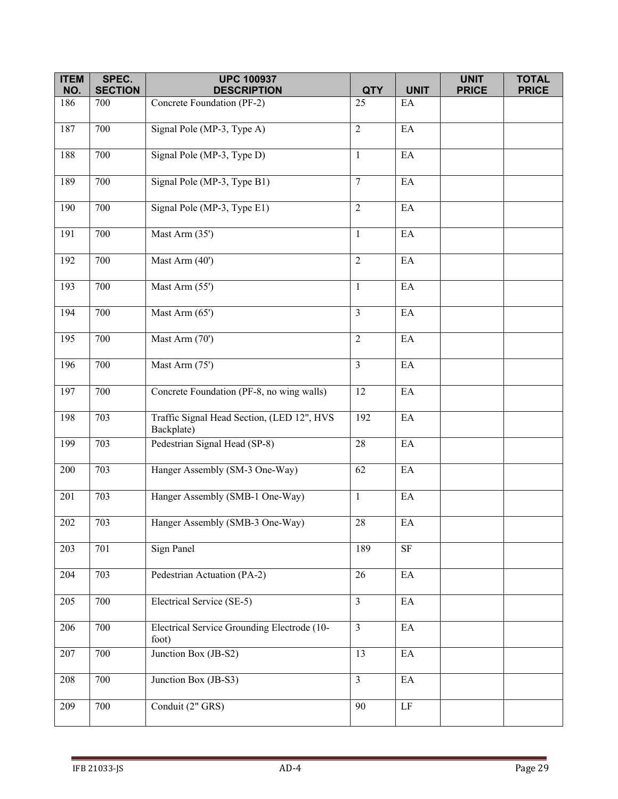| <b>ITEM</b> | SPEC.                 | <b>UPC 100937</b>                                        | <b>QTY</b>     |                            | <b>UNIT</b>  | <b>TOTAL</b> |
|-------------|-----------------------|----------------------------------------------------------|----------------|----------------------------|--------------|--------------|
| NO.<br>186  | <b>SECTION</b><br>700 | <b>DESCRIPTION</b><br>Concrete Foundation (PF-2)         | 25             | <b>UNIT</b><br>EA          | <b>PRICE</b> | <b>PRICE</b> |
|             |                       |                                                          |                |                            |              |              |
| 187         | 700                   | Signal Pole (MP-3, Type A)                               | $\overline{2}$ | EA                         |              |              |
| 188         | 700                   | Signal Pole (MP-3, Type D)                               | $\mathbf{1}$   | EA                         |              |              |
| 189         | 700                   | Signal Pole (MP-3, Type B1)                              | $\overline{7}$ | EA                         |              |              |
| 190         | 700                   | Signal Pole (MP-3, Type E1)                              | $\overline{2}$ | $\rm EA$                   |              |              |
| 191         | 700                   | Mast Arm (35')                                           | $\mathbf{1}$   | EA                         |              |              |
| 192         | 700                   | Mast Arm (40')                                           | $\overline{2}$ | EA                         |              |              |
| 193         | 700                   | Mast Arm (55')                                           | $\mathbf{1}$   | $\mathop{\rm EA}\nolimits$ |              |              |
| 194         | 700                   | Mast Arm (65')                                           | $\overline{3}$ | EA                         |              |              |
| 195         | 700                   | Mast Arm (70')                                           | $\overline{2}$ | EA                         |              |              |
| 196         | 700                   | Mast Arm (75')                                           | $\overline{3}$ | $\rm EA$                   |              |              |
| 197         | 700                   | Concrete Foundation (PF-8, no wing walls)                | 12             | EA                         |              |              |
| 198         | 703                   | Traffic Signal Head Section, (LED 12", HVS<br>Backplate) | 192            | $\mathop{\rm EA}\nolimits$ |              |              |
| 199         | 703                   | Pedestrian Signal Head (SP-8)                            | 28             | $\mathop{\rm EA}\nolimits$ |              |              |
| 200         | 703                   | Hanger Assembly (SM-3 One-Way)                           | 62             | EA                         |              |              |
| 201         | 703                   | Hanger Assembly (SMB-1 One-Way)                          | $\mathbf{1}$   | EA                         |              |              |
| $202\,$     | 703                   | Hanger Assembly (SMB-3 One-Way)                          | $28\,$         | $\mathop{\rm EA}\nolimits$ |              |              |
| 203         | 701                   | Sign Panel                                               | 189            | $\overline{\text{SF}}$     |              |              |
| 204         | 703                   | Pedestrian Actuation (PA-2)                              | 26             | EA                         |              |              |
| 205         | 700                   | Electrical Service (SE-5)                                | $\overline{3}$ | $\mathop{\rm EA}\nolimits$ |              |              |
| 206         | 700                   | Electrical Service Grounding Electrode (10-<br>foot)     | $\mathfrak{Z}$ | EA                         |              |              |
| 207         | 700                   | Junction Box (JB-S2)                                     | 13             | EA                         |              |              |
| 208         | 700                   | Junction Box (JB-S3)                                     | $\overline{3}$ | $\mathop{\rm EA}\nolimits$ |              |              |
| 209         | 700                   | Conduit (2" GRS)                                         | 90             | $\rm LF$                   |              |              |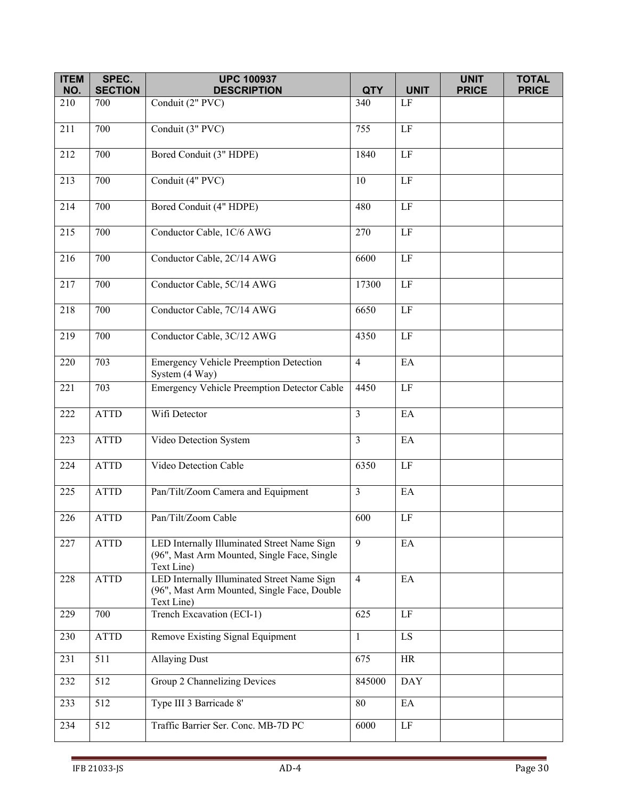| <b>ITEM</b><br>NO. | SPEC.<br><b>SECTION</b> | <b>UPC 100937</b><br><b>DESCRIPTION</b>                                                                  | <b>QTY</b>     | <b>UNIT</b>     | <b>UNIT</b><br><b>PRICE</b> | <b>TOTAL</b><br><b>PRICE</b> |
|--------------------|-------------------------|----------------------------------------------------------------------------------------------------------|----------------|-----------------|-----------------------------|------------------------------|
| 210                | 700                     | Conduit (2" PVC)                                                                                         | 340            | LF              |                             |                              |
| 211                | 700                     | Conduit (3" PVC)                                                                                         | 755            | LF              |                             |                              |
|                    |                         |                                                                                                          |                |                 |                             |                              |
| 212                | 700                     | Bored Conduit (3" HDPE)                                                                                  | 1840           | $\overline{LF}$ |                             |                              |
| 213                | 700                     | Conduit (4" PVC)                                                                                         | 10             | $\rm LF$        |                             |                              |
| 214                | 700                     | Bored Conduit (4" HDPE)                                                                                  | 480            | $\rm LF$        |                             |                              |
| 215                | 700                     | Conductor Cable, 1C/6 AWG                                                                                | 270            | $\rm LF$        |                             |                              |
| 216                | 700                     | Conductor Cable, 2C/14 AWG                                                                               | 6600           | LF              |                             |                              |
| 217                | 700                     | Conductor Cable, 5C/14 AWG                                                                               | 17300          | $\rm LF$        |                             |                              |
| 218                | 700                     | Conductor Cable, 7C/14 AWG                                                                               | 6650           | $\rm LF$        |                             |                              |
| 219                | 700                     | Conductor Cable, 3C/12 AWG                                                                               | 4350           | LF              |                             |                              |
| 220                | 703                     | <b>Emergency Vehicle Preemption Detection</b><br>System (4 Way)                                          | $\overline{4}$ | EA              |                             |                              |
| 221                | 703                     | Emergency Vehicle Preemption Detector Cable                                                              | 4450           | $\rm LF$        |                             |                              |
| 222                | <b>ATTD</b>             | Wifi Detector                                                                                            | $\overline{3}$ | EA              |                             |                              |
| 223                | <b>ATTD</b>             | Video Detection System                                                                                   | $\overline{3}$ | EA              |                             |                              |
| 224                | <b>ATTD</b>             | Video Detection Cable                                                                                    | 6350           | $\overline{LF}$ |                             |                              |
| 225                | <b>ATTD</b>             | Pan/Tilt/Zoom Camera and Equipment                                                                       | $\mathfrak{Z}$ | EA              |                             |                              |
| 226                | <b>ATTD</b>             | Pan/Tilt/Zoom Cable                                                                                      | 600            | $\rm LF$        |                             |                              |
| 227                | <b>ATTD</b>             | LED Internally Illuminated Street Name Sign<br>(96", Mast Arm Mounted, Single Face, Single<br>Text Line) | 9              | EA              |                             |                              |
| 228                | <b>ATTD</b>             | LED Internally Illuminated Street Name Sign<br>(96", Mast Arm Mounted, Single Face, Double<br>Text Line) | $\overline{4}$ | EA              |                             |                              |
| 229                | 700                     | Trench Excavation (ECI-1)                                                                                | 625            | LF              |                             |                              |
| 230                | <b>ATTD</b>             | Remove Existing Signal Equipment                                                                         | $\mathbf{1}$   | LS.             |                             |                              |
| 231                | 511                     | <b>Allaying Dust</b>                                                                                     | 675            | <b>HR</b>       |                             |                              |
| 232                | 512                     | Group 2 Channelizing Devices                                                                             | 845000         | <b>DAY</b>      |                             |                              |
| 233                | 512                     | Type III 3 Barricade 8'                                                                                  | 80             | EA              |                             |                              |
| 234                | $\overline{512}$        | Traffic Barrier Ser. Conc. MB-7D PC                                                                      | 6000           | LF              |                             |                              |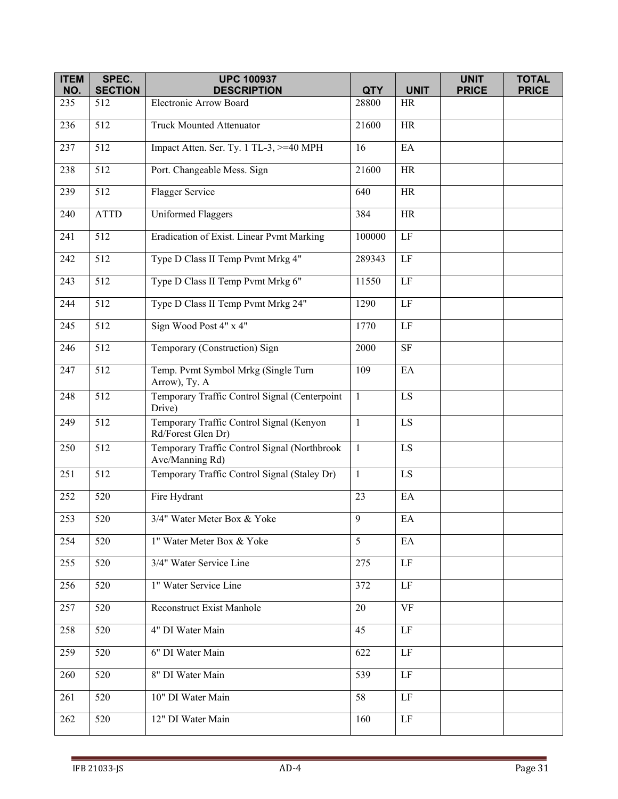| <b>ITEM</b> | SPEC.                 | <b>UPC 100937</b>                                               |                     |                          | <b>UNIT</b>  | <b>TOTAL</b> |
|-------------|-----------------------|-----------------------------------------------------------------|---------------------|--------------------------|--------------|--------------|
| NO.<br>235  | <b>SECTION</b><br>512 | <b>DESCRIPTION</b><br>Electronic Arrow Board                    | <b>QTY</b><br>28800 | <b>UNIT</b><br><b>HR</b> | <b>PRICE</b> | <b>PRICE</b> |
|             |                       |                                                                 |                     |                          |              |              |
| 236         | 512                   | <b>Truck Mounted Attenuator</b>                                 | 21600               | <b>HR</b>                |              |              |
| 237         | 512                   | Impact Atten. Ser. Ty. 1 TL-3, >=40 MPH                         | 16                  | EA                       |              |              |
| 238         | 512                   | Port. Changeable Mess. Sign                                     | 21600               | <b>HR</b>                |              |              |
| 239         | 512                   | Flagger Service                                                 | 640                 | <b>HR</b>                |              |              |
| 240         | <b>ATTD</b>           | <b>Uniformed Flaggers</b>                                       | 384                 | <b>HR</b>                |              |              |
| 241         | 512                   | Eradication of Exist. Linear Pvmt Marking                       | 100000              | $\rm LF$                 |              |              |
| 242         | $\overline{512}$      | Type D Class II Temp Pvmt Mrkg 4"                               | 289343              | $\rm LF$                 |              |              |
| 243         | 512                   | Type D Class II Temp Pvmt Mrkg 6"                               | 11550               | $\rm LF$                 |              |              |
| 244         | 512                   | Type D Class II Temp Pvmt Mrkg 24"                              | 1290                | LF                       |              |              |
| 245         | $\overline{512}$      | Sign Wood Post 4" x 4"                                          | 1770                | $\rm LF$                 |              |              |
| 246         | 512                   | Temporary (Construction) Sign                                   | 2000                | $\overline{\text{SF}}$   |              |              |
| 247         | 512                   | Temp. Pvmt Symbol Mrkg (Single Turn<br>Arrow), Ty. A            | 109                 | EA                       |              |              |
| 248         | 512                   | Temporary Traffic Control Signal (Centerpoint<br>Drive)         | $\mathbf{1}$        | LS                       |              |              |
| 249         | 512                   | Temporary Traffic Control Signal (Kenyon<br>Rd/Forest Glen Dr)  | $\mathbf{1}$        | $\mathop{\hbox{\rm LS}}$ |              |              |
| 250         | 512                   | Temporary Traffic Control Signal (Northbrook<br>Ave/Manning Rd) | $\mathbf{1}$        | LS                       |              |              |
| 251         | 512                   | Temporary Traffic Control Signal (Staley Dr)                    | $\mathbf{1}$        | LS                       |              |              |
| 252         | 520                   | Fire Hydrant                                                    | 23                  | EA                       |              |              |
| 253         | 520                   | 3/4" Water Meter Box & Yoke                                     | 9                   | EA                       |              |              |
| 254         | 520                   | 1" Water Meter Box & Yoke                                       | 5                   | EA                       |              |              |
| 255         | 520                   | 3/4" Water Service Line                                         | 275                 | LF                       |              |              |
| 256         | 520                   | 1" Water Service Line                                           | 372                 | LF                       |              |              |
| 257         | 520                   | <b>Reconstruct Exist Manhole</b>                                | 20                  | <b>VF</b>                |              |              |
| 258         | 520                   | 4" DI Water Main                                                | 45                  | $\rm LF$                 |              |              |
| 259         | 520                   | 6" DI Water Main                                                | 622                 | $\rm LF$                 |              |              |
| 260         | 520                   | 8" DI Water Main                                                | 539                 | LF                       |              |              |
| 261         | 520                   | 10" DI Water Main                                               | 58                  | LF                       |              |              |
| 262         | 520                   | 12" DI Water Main                                               | 160                 | $\rm LF$                 |              |              |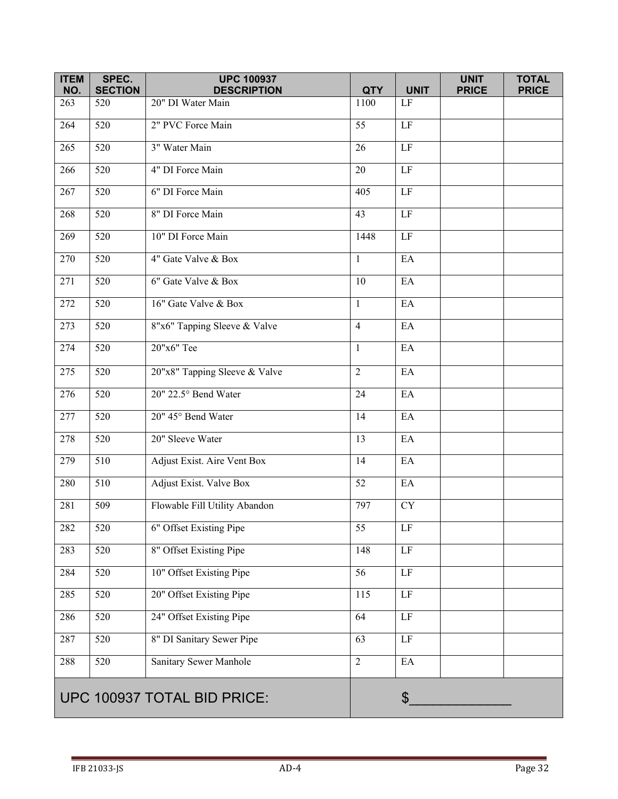| <b>ITEM</b><br>NO. | SPEC.<br><b>SECTION</b>     | <b>UPC 100937</b><br><b>DESCRIPTION</b> | <b>QTY</b>       | <b>UNIT</b>                | <b>UNIT</b><br><b>PRICE</b> | <b>TOTAL</b><br><b>PRICE</b> |
|--------------------|-----------------------------|-----------------------------------------|------------------|----------------------------|-----------------------------|------------------------------|
| 263                | 520                         | 20" DI Water Main                       | 1100             | LF                         |                             |                              |
| 264                | 520                         | 2" PVC Force Main                       | 55               | $\rm LF$                   |                             |                              |
| 265                | 520                         | 3" Water Main                           | 26               | $\rm LF$                   |                             |                              |
| 266                | 520                         | 4" DI Force Main                        | 20               | $\rm LF$                   |                             |                              |
| 267                | 520                         | 6" DI Force Main                        | 405              | $\rm LF$                   |                             |                              |
| 268                | 520                         | 8" DI Force Main                        | 43               | $\rm LF$                   |                             |                              |
| 269                | 520                         | 10" DI Force Main                       | 1448             | $\rm LF$                   |                             |                              |
| 270                | $\overline{520}$            | 4" Gate Valve & Box                     | $\mathbf{1}$     | EA                         |                             |                              |
| 271                | 520                         | 6" Gate Valve & Box                     | 10               | EA                         |                             |                              |
| 272                | 520                         | 16" Gate Valve & Box                    | $\mathbf{1}$     | EA                         |                             |                              |
| 273                | 520                         | 8"x6" Tapping Sleeve & Valve            | $\overline{4}$   | EA                         |                             |                              |
| 274                | 520                         | 20"x6" Tee                              | $\mathbf{1}$     | EA                         |                             |                              |
| 275                | 520                         | 20"x8" Tapping Sleeve & Valve           | $\overline{2}$   | EA                         |                             |                              |
| 276                | 520                         | 20" 22.5° Bend Water                    | 24               | EA                         |                             |                              |
| 277                | 520                         | 20" 45° Bend Water                      | 14               | EA                         |                             |                              |
| 278                | 520                         | 20" Sleeve Water                        | 13               | EA                         |                             |                              |
| 279                | 510                         | Adjust Exist. Aire Vent Box             | 14               | EA                         |                             |                              |
| 280                | 510                         | Adjust Exist. Valve Box                 | 52               | EA                         |                             |                              |
| 281                | 509                         | Flowable Fill Utility Abandon           | 797              | ${\rm CY}$                 |                             |                              |
| 282                | 520                         | 6" Offset Existing Pipe                 | 55               | LF                         |                             |                              |
| 283                | $\overline{520}$            | 8" Offset Existing Pipe                 | 148              | $\rm LF$                   |                             |                              |
| 284                | $\overline{520}$            | 10" Offset Existing Pipe                | $\overline{56}$  | LF                         |                             |                              |
| 285                | 520                         | 20" Offset Existing Pipe                | $\overline{115}$ | LF                         |                             |                              |
| 286                | 520                         | 24" Offset Existing Pipe                | 64               | $\rm LF$                   |                             |                              |
| 287                | 520                         | 8" DI Sanitary Sewer Pipe               | 63               | $\rm LF$                   |                             |                              |
| 288                | 520                         | Sanitary Sewer Manhole                  | $\overline{2}$   | $\mathop{\rm EA}\nolimits$ |                             |                              |
|                    | UPC 100937 TOTAL BID PRICE: |                                         |                  | $\boldsymbol{\mathsf{S}}$  |                             |                              |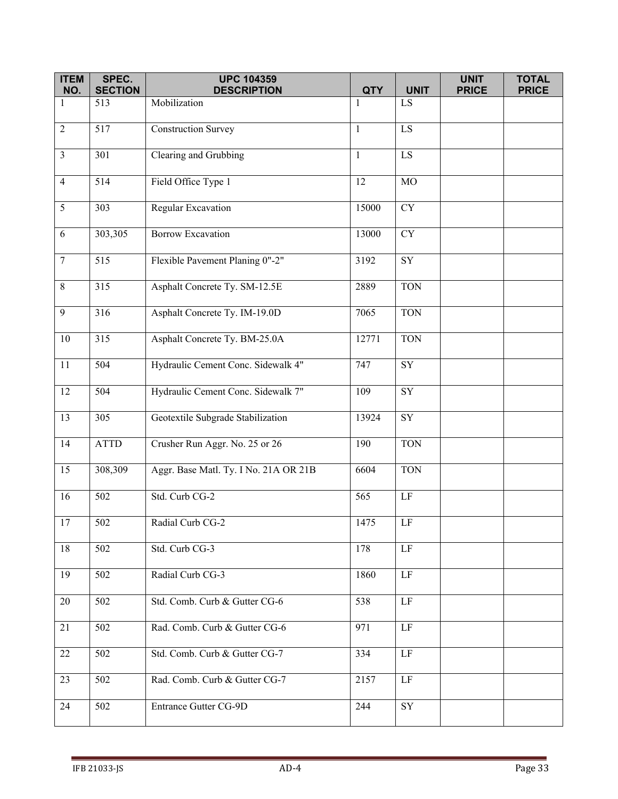| <b>ITEM</b><br>NO. | SPEC.<br><b>SECTION</b> | <b>UPC 104359</b><br><b>DESCRIPTION</b> | <b>QTY</b>   | <b>UNIT</b>     | <b>UNIT</b><br><b>PRICE</b> | <b>TOTAL</b><br><b>PRICE</b> |
|--------------------|-------------------------|-----------------------------------------|--------------|-----------------|-----------------------------|------------------------------|
| 1                  | 513                     | Mobilization                            | $\mathbf{1}$ | LS.             |                             |                              |
|                    |                         |                                         |              |                 |                             |                              |
| $\overline{2}$     | 517                     | <b>Construction Survey</b>              | -1           | $\overline{LS}$ |                             |                              |
| $\mathfrak{Z}$     | 301                     | Clearing and Grubbing                   | $\mathbf{1}$ | LS              |                             |                              |
| $\overline{4}$     | 514                     | Field Office Type 1                     | 12           | $_{\rm MO}$     |                             |                              |
| $\mathfrak{S}$     | 303                     | Regular Excavation                      | 15000        | <b>CY</b>       |                             |                              |
| $\sqrt{6}$         | 303,305                 | <b>Borrow Excavation</b>                | 13000        | <b>CY</b>       |                             |                              |
| $\boldsymbol{7}$   | 515                     | Flexible Pavement Planing 0"-2"         | 3192         | ${\rm SY}$      |                             |                              |
| $\,8\,$            | 315                     | Asphalt Concrete Ty. SM-12.5E           | 2889         | <b>TON</b>      |                             |                              |
| 9                  | 316                     | Asphalt Concrete Ty. IM-19.0D           | 7065         | <b>TON</b>      |                             |                              |
| $10\,$             | 315                     | Asphalt Concrete Ty. BM-25.0A           | 12771        | <b>TON</b>      |                             |                              |
| 11                 | 504                     | Hydraulic Cement Conc. Sidewalk 4"      | 747          | SY              |                             |                              |
| 12                 | 504                     | Hydraulic Cement Conc. Sidewalk 7"      | 109          | <b>SY</b>       |                             |                              |
| 13                 | 305                     | Geotextile Subgrade Stabilization       | 13924        | ${\rm SY}$      |                             |                              |
| 14                 | <b>ATTD</b>             | Crusher Run Aggr. No. 25 or 26          | 190          | <b>TON</b>      |                             |                              |
| 15                 | 308,309                 | Aggr. Base Matl. Ty. I No. 21A OR 21B   | 6604         | <b>TON</b>      |                             |                              |
| 16                 | 502                     | Std. Curb CG-2                          | 565          | LF              |                             |                              |
| 17                 | 502                     | Radial Curb CG-2                        | 1475         | LF              |                             |                              |
| 18                 | 502                     | Std. Curb CG-3                          | 178          | $\rm LF$        |                             |                              |
| 19                 | 502                     | Radial Curb CG-3                        | 1860         | $\rm LF$        |                             |                              |
| 20                 | 502                     | Std. Comb. Curb & Gutter CG-6           | 538          | LF              |                             |                              |
| 21                 | 502                     | Rad. Comb. Curb & Gutter CG-6           | 971          | $\rm LF$        |                             |                              |
| 22                 | 502                     | Std. Comb. Curb & Gutter CG-7           | 334          | $\rm LF$        |                             |                              |
| 23                 | 502                     | Rad. Comb. Curb & Gutter CG-7           | 2157         | LF              |                             |                              |
| 24                 | 502                     | Entrance Gutter CG-9D                   | 244          | ${\rm SY}$      |                             |                              |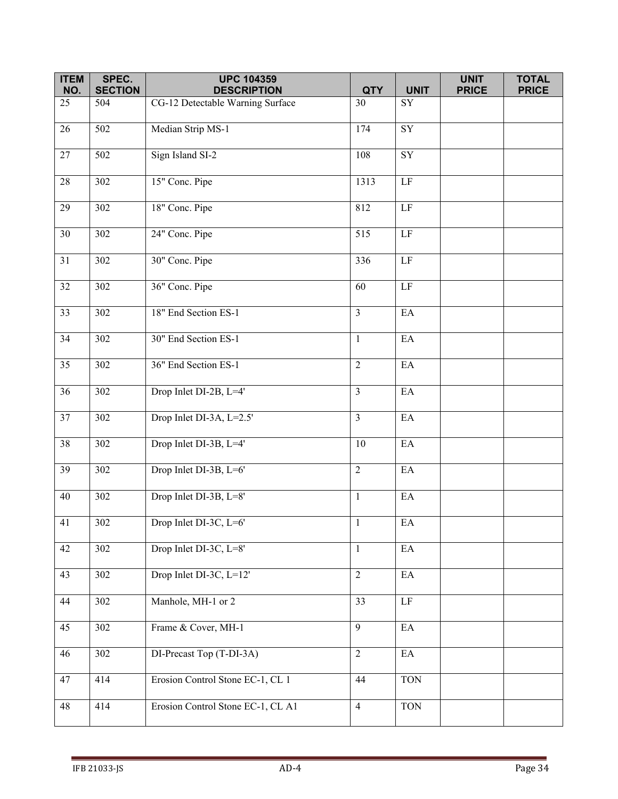| <b>ITEM</b>     | SPEC.                 | <b>UPC 104359</b>                                      |                  |                            | <b>UNIT</b>  | <b>TOTAL</b> |
|-----------------|-----------------------|--------------------------------------------------------|------------------|----------------------------|--------------|--------------|
| NO.<br>25       | <b>SECTION</b><br>504 | <b>DESCRIPTION</b><br>CG-12 Detectable Warning Surface | <b>QTY</b><br>30 | <b>UNIT</b><br>SY          | <b>PRICE</b> | <b>PRICE</b> |
|                 |                       |                                                        |                  |                            |              |              |
| $\overline{26}$ | $\overline{502}$      | Median Strip MS-1                                      | 174              | $\overline{SY}$            |              |              |
| 27              | 502                   | Sign Island SI-2                                       | 108              | ${\rm SY}$                 |              |              |
| 28              | 302                   | 15" Conc. Pipe                                         | 1313             | $\rm LF$                   |              |              |
| $\overline{29}$ | 302                   | 18" Conc. Pipe                                         | 812              | LF                         |              |              |
| 30              | 302                   | 24" Conc. Pipe                                         | 515              | $\rm LF$                   |              |              |
| 31              | $\overline{3}02$      | 30" Conc. Pipe                                         | 336              | $\rm LF$                   |              |              |
| $\overline{32}$ | $\overline{302}$      | 36" Conc. Pipe                                         | 60               | $\overline{LF}$            |              |              |
| 33              | 302                   | 18" End Section ES-1                                   | $\overline{3}$   | $\mathop{\rm EA}\nolimits$ |              |              |
| 34              | 302                   | 30" End Section ES-1                                   | $\mathbf{1}$     | EA                         |              |              |
| $\overline{35}$ | 302                   | 36" End Section ES-1                                   | 2                | EA                         |              |              |
| 36              | 302                   | Drop Inlet DI-2B, L=4'                                 | $\overline{3}$   | $\mathop{\rm EA}\nolimits$ |              |              |
| 37              | 302                   | Drop Inlet DI-3A, L=2.5'                               | $\overline{3}$   | EA                         |              |              |
| $\overline{38}$ | 302                   | Drop Inlet DI-3B, L=4'                                 | 10               | EA                         |              |              |
| 39              | 302                   | Drop Inlet DI-3B, L=6'                                 | $\overline{2}$   | $\rm EA$                   |              |              |
| 40              | 302                   | Drop Inlet DI-3B, L=8'                                 | $\mathbf{1}$     | $\rm EA$                   |              |              |
| 41              | 302                   | Drop Inlet DI-3C, L=6'                                 | $\mathbf{1}$     | EA                         |              |              |
| 42              | 302                   | Drop Inlet DI-3C, L=8'                                 | $\mathbf{1}$     | $\mathop{\rm EA}\nolimits$ |              |              |
| 43              | 302                   | Drop Inlet DI-3C, L=12'                                | $\overline{2}$   | EA                         |              |              |
| 44              | 302                   | Manhole, MH-1 or 2                                     | 33               | $\overline{LF}$            |              |              |
| 45              | 302                   | Frame & Cover, MH-1                                    | $\overline{9}$   | $\rm EA$                   |              |              |
| 46              | 302                   | DI-Precast Top (T-DI-3A)                               | $\overline{2}$   | $\mathop{\rm EA}\nolimits$ |              |              |
| 47              | 414                   | Erosion Control Stone EC-1, CL 1                       | 44               | <b>TON</b>                 |              |              |
| 48              | 414                   | Erosion Control Stone EC-1, CL A1                      | $\overline{4}$   | <b>TON</b>                 |              |              |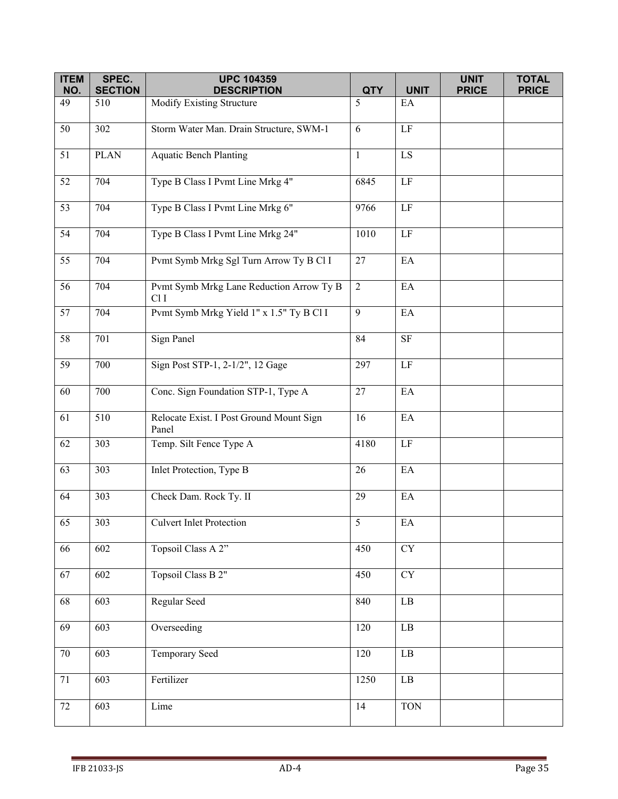| <b>ITEM</b> | SPEC.                 | <b>UPC 104359</b>                                 |                  |                            | <b>UNIT</b>  | <b>TOTAL</b> |
|-------------|-----------------------|---------------------------------------------------|------------------|----------------------------|--------------|--------------|
| NO.<br>49   | <b>SECTION</b><br>510 | <b>DESCRIPTION</b><br>Modify Existing Structure   | <b>QTY</b><br>5  | <b>UNIT</b><br>EA          | <b>PRICE</b> | <b>PRICE</b> |
|             |                       |                                                   |                  |                            |              |              |
| 50          | 302                   | Storm Water Man. Drain Structure, SWM-1           | 6                | $\rm LF$                   |              |              |
| 51          | <b>PLAN</b>           | <b>Aquatic Bench Planting</b>                     | $\mathbf{1}$     | $\mathbf{L}\mathbf{S}$     |              |              |
| 52          | 704                   | Type B Class I Pvmt Line Mrkg 4"                  | 6845             | $\rm LF$                   |              |              |
| 53          | 704                   | Type B Class I Pvmt Line Mrkg 6"                  | 9766             | $\rm LF$                   |              |              |
| 54          | 704                   | Type B Class I Pvmt Line Mrkg 24"                 | 1010             | $\rm LF$                   |              |              |
| 55          | 704                   | Pvmt Symb Mrkg Sgl Turn Arrow Ty B Cl I           | 27               | EA                         |              |              |
| 56          | 704                   | Pvmt Symb Mrkg Lane Reduction Arrow Ty B<br>ClI   | 2                | EA                         |              |              |
| 57          | 704                   | Pvmt Symb Mrkg Yield 1" x 1.5" Ty B Cl I          | 9                | EA                         |              |              |
| 58          | 701                   | Sign Panel                                        | 84               | $\rm{SF}$                  |              |              |
| 59          | 700                   | Sign Post STP-1, 2-1/2", 12 Gage                  | 297              | $\rm LF$                   |              |              |
| 60          | 700                   | Conc. Sign Foundation STP-1, Type A               | 27               | EA                         |              |              |
| 61          | 510                   | Relocate Exist. I Post Ground Mount Sign<br>Panel | 16               | $\mathop{\rm EA}\nolimits$ |              |              |
| 62          | 303                   | Temp. Silt Fence Type A                           | 4180             | $\rm LF$                   |              |              |
| 63          | 303                   | Inlet Protection, Type B                          | 26               | EA                         |              |              |
| 64          | 303                   | Check Dam. Rock Ty. II                            | 29               | $\rm EA$                   |              |              |
| 65          | 303                   | <b>Culvert Inlet Protection</b>                   | $5\overline{)}$  | $\mathop{\rm EA}\nolimits$ |              |              |
| 66          | 602                   | Topsoil Class A 2"                                | 450              | CY                         |              |              |
| 67          | 602                   | Topsoil Class B 2"                                | 450              | <b>CY</b>                  |              |              |
| 68          | 603                   | Regular Seed                                      | 840              | $\rm LB$                   |              |              |
| 69          | 603                   | Overseeding                                       | 120              | $\rm LB$                   |              |              |
| $70\,$      | 603                   | <b>Temporary Seed</b>                             | $\overline{120}$ | $\rm LB$                   |              |              |
| 71          | 603                   | Fertilizer                                        | 1250             | $\rm LB$                   |              |              |
| 72          | 603                   | Lime                                              | 14               | <b>TON</b>                 |              |              |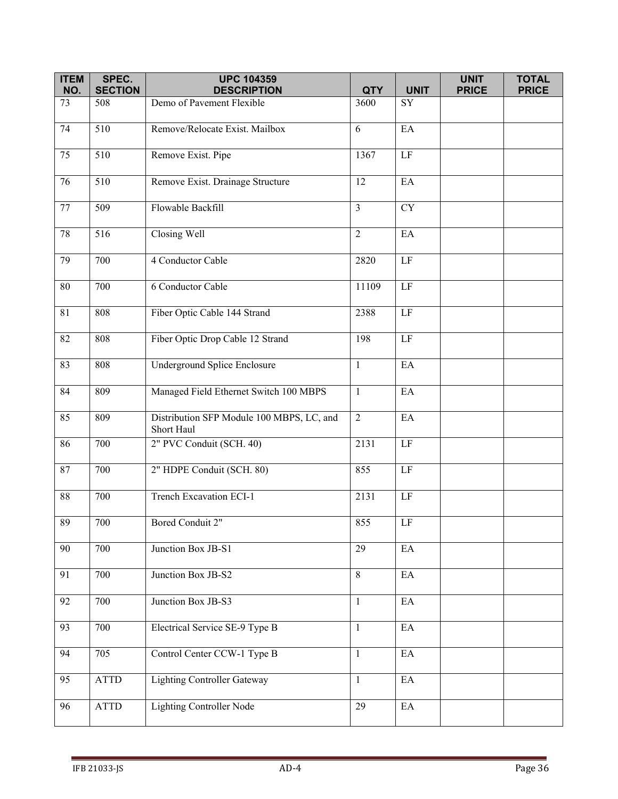| <b>ITEM</b>     | SPEC.                 | <b>UPC 104359</b>                                       |                |                            | <b>UNIT</b>  | <b>TOTAL</b> |
|-----------------|-----------------------|---------------------------------------------------------|----------------|----------------------------|--------------|--------------|
| NO.             | <b>SECTION</b>        | <b>DESCRIPTION</b>                                      | <b>QTY</b>     | <b>UNIT</b>                | <b>PRICE</b> | <b>PRICE</b> |
| 73              | 508                   | Demo of Pavement Flexible                               | 3600           | SY                         |              |              |
| 74              | $\overline{510}$      | Remove/Relocate Exist. Mailbox                          | 6              | $E$ A                      |              |              |
| 75              | 510                   | Remove Exist. Pipe                                      | 1367           | $\rm LF$                   |              |              |
| 76              | 510                   | Remove Exist. Drainage Structure                        | 12             | EA                         |              |              |
| 77              | 509                   | Flowable Backfill                                       | $\overline{3}$ | <b>CY</b>                  |              |              |
| 78              | 516                   | Closing Well                                            | $\overline{2}$ | EA                         |              |              |
| 79              | 700                   | 4 Conductor Cable                                       | 2820           | $\rm LF$                   |              |              |
| $\overline{80}$ | 700                   | 6 Conductor Cable                                       | 11109          | LF                         |              |              |
| 81              | 808                   | Fiber Optic Cable 144 Strand                            | 2388           | $\rm LF$                   |              |              |
| 82              | 808                   | Fiber Optic Drop Cable 12 Strand                        | 198            | $\rm LF$                   |              |              |
| 83              | 808                   | Underground Splice Enclosure                            | $\mathbf{1}$   | EA                         |              |              |
| 84              | 809                   | Managed Field Ethernet Switch 100 MBPS                  | $\mathbf{1}$   | EA                         |              |              |
| 85              | 809                   | Distribution SFP Module 100 MBPS, LC, and<br>Short Haul | $\overline{2}$ | EA                         |              |              |
| 86              | 700                   | 2" PVC Conduit (SCH. 40)                                | 2131           | $\rm LF$                   |              |              |
| 87              | 700                   | 2" HDPE Conduit (SCH. 80)                               | 855            | $\rm LF$                   |              |              |
| $88\,$          | 700                   | Trench Excavation ECI-1                                 | 2131           | $\rm LF$                   |              |              |
| 89              | 700                   | Bored Conduit 2"                                        | 855            | LF                         |              |              |
| 90              | 700                   | Junction Box JB-S1                                      | 29             | EA                         |              |              |
| 91              | 700                   | Junction Box JB-S2                                      | 8              | EA                         |              |              |
| 92              | 700                   | Junction Box JB-S3                                      | $\mathbf{1}$   | EA                         |              |              |
| 93              | 700                   | Electrical Service SE-9 Type B                          | $\mathbf{1}$   | $\mathop{\rm EA}\nolimits$ |              |              |
| 94              | 705                   | Control Center CCW-1 Type B                             | $\mathbf{1}$   | EA                         |              |              |
| $\overline{95}$ | <b>ATTD</b>           | <b>Lighting Controller Gateway</b>                      | $\mathbf{1}$   | $\mathop{\rm EA}\nolimits$ |              |              |
| 96              | $\operatorname{ATTD}$ | <b>Lighting Controller Node</b>                         | 29             | $\rm EA$                   |              |              |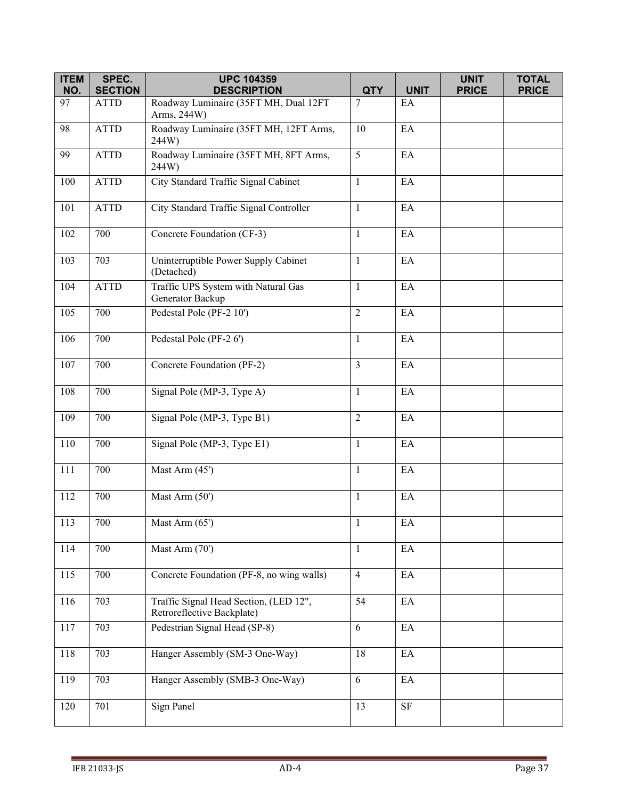| <b>ITEM</b> | SPEC.          | <b>UPC 104359</b>                                                    |                |             | <b>UNIT</b>  | <b>TOTAL</b> |
|-------------|----------------|----------------------------------------------------------------------|----------------|-------------|--------------|--------------|
| NO.         | <b>SECTION</b> | <b>DESCRIPTION</b>                                                   | <b>QTY</b>     | <b>UNIT</b> | <b>PRICE</b> | <b>PRICE</b> |
| 97          | ATTD           | Roadway Luminaire (35FT MH, Dual 12FT<br>Arms, 244W)                 | 7              | EA          |              |              |
| 98          | <b>ATTD</b>    | Roadway Luminaire (35FT MH, 12FT Arms,<br>244W)                      | 10             | EA          |              |              |
| 99          | <b>ATTD</b>    | Roadway Luminaire (35FT MH, 8FT Arms,<br>244W)                       | 5              | EA          |              |              |
| 100         | <b>ATTD</b>    | City Standard Traffic Signal Cabinet                                 | $\mathbf{1}$   | EA          |              |              |
| 101         | <b>ATTD</b>    | City Standard Traffic Signal Controller                              | $\mathbf{1}$   | EA          |              |              |
| 102         | 700            | Concrete Foundation (CF-3)                                           | $\mathbf{1}$   | EA          |              |              |
| 103         | 703            | Uninterruptible Power Supply Cabinet<br>(Detached)                   | $\mathbf{1}$   | EA          |              |              |
| 104         | <b>ATTD</b>    | Traffic UPS System with Natural Gas<br>Generator Backup              | $\mathbf{1}$   | EA          |              |              |
| 105         | 700            | Pedestal Pole (PF-2 10')                                             | $\overline{2}$ | EA          |              |              |
| 106         | 700            | Pedestal Pole (PF-2 6')                                              | $\mathbf{1}$   | EA          |              |              |
| 107         | 700            | Concrete Foundation (PF-2)                                           | $\overline{3}$ | EA          |              |              |
| 108         | 700            | Signal Pole (MP-3, Type A)                                           | $\mathbf{1}$   | EA          |              |              |
| 109         | 700            | Signal Pole (MP-3, Type B1)                                          | $\overline{2}$ | EA          |              |              |
| 110         | 700            | Signal Pole (MP-3, Type E1)                                          | $\mathbf{1}$   | EA          |              |              |
| 111         | 700            | Mast Arm (45')                                                       | $\mathbf{1}$   | EA          |              |              |
| 112         | 700            | Mast Arm (50')                                                       | $\mathbf{1}$   | EA          |              |              |
| 113         | 700            | Mast Arm $(65)$                                                      | $\mathbf{1}$   | EA          |              |              |
| 114         | 700            | Mast Arm (70')                                                       | $\mathbf{1}$   | EA          |              |              |
| 115         | 700            | Concrete Foundation (PF-8, no wing walls)                            | $\overline{4}$ | EA          |              |              |
| 116         | 703            | Traffic Signal Head Section, (LED 12",<br>Retroreflective Backplate) | 54             | EA          |              |              |
| 117         | 703            | Pedestrian Signal Head (SP-8)                                        | 6              | EA          |              |              |
| 118         | 703            | Hanger Assembly (SM-3 One-Way)                                       | 18             | EA          |              |              |
| 119         | 703            | Hanger Assembly (SMB-3 One-Way)                                      | 6              | $\rm EA$    |              |              |
| 120         | 701            | Sign Panel                                                           | 13             | $\rm SF$    |              |              |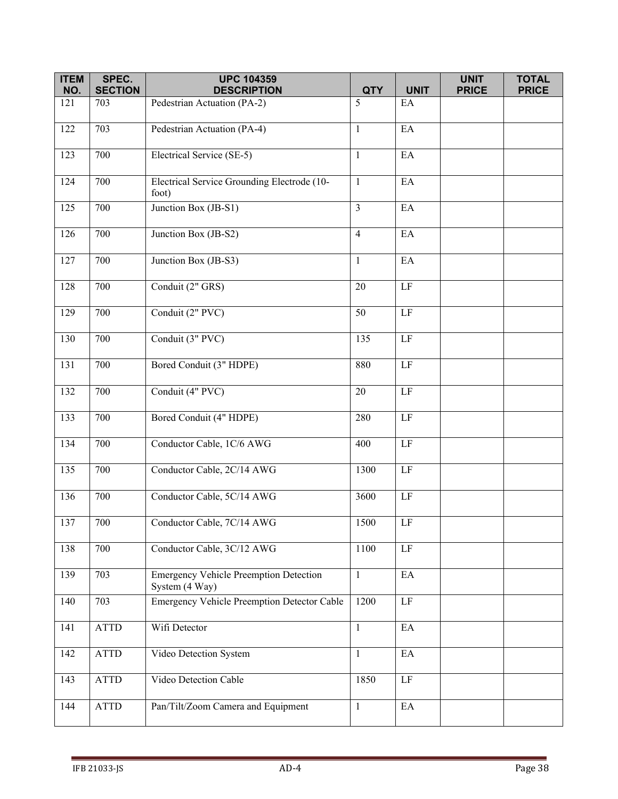| <b>ITEM</b><br>NO. | SPEC.<br><b>SECTION</b> | <b>UPC 104359</b><br><b>DESCRIPTION</b>                         | <b>QTY</b>     | <b>UNIT</b>                | <b>UNIT</b><br><b>PRICE</b> | <b>TOTAL</b><br><b>PRICE</b> |
|--------------------|-------------------------|-----------------------------------------------------------------|----------------|----------------------------|-----------------------------|------------------------------|
| 121                | 703                     | Pedestrian Actuation (PA-2)                                     | 5              | EA                         |                             |                              |
|                    |                         |                                                                 |                |                            |                             |                              |
| 122                | 703                     | Pedestrian Actuation (PA-4)                                     | $\mathbf{1}$   | EA                         |                             |                              |
| 123                | 700                     | Electrical Service (SE-5)                                       | $\mathbf{1}$   | EA                         |                             |                              |
| 124                | 700                     | Electrical Service Grounding Electrode (10-<br>foot)            | $\mathbf{1}$   | EA                         |                             |                              |
| 125                | 700                     | Junction Box (JB-S1)                                            | $\mathfrak{Z}$ | $\mathop{\rm EA}\nolimits$ |                             |                              |
| 126                | 700                     | Junction Box (JB-S2)                                            | $\overline{4}$ | EA                         |                             |                              |
| 127                | 700                     | Junction Box (JB-S3)                                            | $\mathbf{1}$   | EA                         |                             |                              |
| 128                | 700                     | Conduit (2" GRS)                                                | 20             | LF                         |                             |                              |
| 129                | 700                     | Conduit (2" PVC)                                                | 50             | $\rm LF$                   |                             |                              |
| 130                | 700                     | Conduit (3" PVC)                                                | 135            | $\rm LF$                   |                             |                              |
| 131                | 700                     | Bored Conduit (3" HDPE)                                         | 880            | LF                         |                             |                              |
| 132                | 700                     | Conduit (4" PVC)                                                | 20             | LF                         |                             |                              |
| 133                | 700                     | Bored Conduit (4" HDPE)                                         | 280            | $\rm LF$                   |                             |                              |
| 134                | 700                     | Conductor Cable, 1C/6 AWG                                       | 400            | LF                         |                             |                              |
| 135                | 700                     | Conductor Cable, 2C/14 AWG                                      | 1300           | $\rm LF$                   |                             |                              |
| 136                | 700                     | Conductor Cable, 5C/14 AWG                                      | 3600           | $\rm LF$                   |                             |                              |
| 137                | 700                     | Conductor Cable, 7C/14 AWG                                      | 1500           | LF                         |                             |                              |
| 138                | 700                     | Conductor Cable, 3C/12 AWG                                      | 1100           | $\rm LF$                   |                             |                              |
| 139                | 703                     | <b>Emergency Vehicle Preemption Detection</b><br>System (4 Way) | $\mathbf{1}$   | EA                         |                             |                              |
| 140                | 703                     | <b>Emergency Vehicle Preemption Detector Cable</b>              | 1200           | LF                         |                             |                              |
| 141                | <b>ATTD</b>             | Wifi Detector                                                   | $\mathbf{1}$   | EA                         |                             |                              |
| 142                | <b>ATTD</b>             | Video Detection System                                          | $\mathbf{1}$   | EA                         |                             |                              |
| 143                | ATTD                    | Video Detection Cable                                           | 1850           | $\rm LF$                   |                             |                              |
| 144                | ATTD                    | Pan/Tilt/Zoom Camera and Equipment                              | $\mathbf{1}$   | $\rm EA$                   |                             |                              |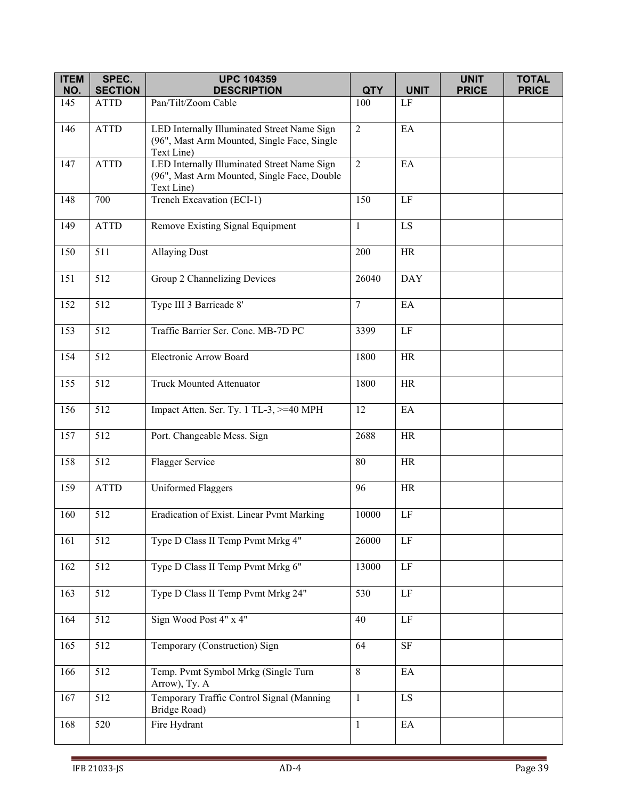| <b>ITEM</b> | SPEC.            | <b>UPC 104359</b>                                                                                        |                |                            | <b>UNIT</b>  | <b>TOTAL</b> |
|-------------|------------------|----------------------------------------------------------------------------------------------------------|----------------|----------------------------|--------------|--------------|
| NO.         | <b>SECTION</b>   | <b>DESCRIPTION</b>                                                                                       | <b>QTY</b>     | <b>UNIT</b>                | <b>PRICE</b> | <b>PRICE</b> |
| 145         | <b>ATTD</b>      | Pan/Tilt/Zoom Cable                                                                                      | 100            | $\rm LF$                   |              |              |
| 146         | <b>ATTD</b>      | LED Internally Illuminated Street Name Sign<br>(96", Mast Arm Mounted, Single Face, Single<br>Text Line) | $\overline{2}$ | EA                         |              |              |
| 147         | <b>ATTD</b>      | LED Internally Illuminated Street Name Sign<br>(96", Mast Arm Mounted, Single Face, Double<br>Text Line) | $\overline{2}$ | EA                         |              |              |
| 148         | 700              | Trench Excavation (ECI-1)                                                                                | 150            | $\rm LF$                   |              |              |
| 149         | <b>ATTD</b>      | Remove Existing Signal Equipment                                                                         | 1              | LS                         |              |              |
| 150         | 511              | <b>Allaying Dust</b>                                                                                     | 200            | HR                         |              |              |
| 151         | 512              | Group 2 Channelizing Devices                                                                             | 26040          | <b>DAY</b>                 |              |              |
| 152         | 512              | Type III 3 Barricade 8'                                                                                  | $\tau$         | EA                         |              |              |
| 153         | 512              | Traffic Barrier Ser. Conc. MB-7D PC                                                                      | 3399           | $\rm LF$                   |              |              |
| 154         | 512              | Electronic Arrow Board                                                                                   | 1800           | HR                         |              |              |
| 155         | 512              | <b>Truck Mounted Attenuator</b>                                                                          | 1800           | <b>HR</b>                  |              |              |
| 156         | 512              | Impact Atten. Ser. Ty. 1 TL-3, >=40 MPH                                                                  | 12             | EA                         |              |              |
| 157         | 512              | Port. Changeable Mess. Sign                                                                              | 2688           | <b>HR</b>                  |              |              |
| 158         | 512              | Flagger Service                                                                                          | 80             | <b>HR</b>                  |              |              |
| 159         | <b>ATTD</b>      | <b>Uniformed Flaggers</b>                                                                                | 96             | <b>HR</b>                  |              |              |
| 160         | 512              | Eradication of Exist. Linear Pvmt Marking                                                                | 10000          | $\rm LF$                   |              |              |
| 161         | 512              | Type D Class II Temp Pvmt Mrkg 4"                                                                        | 26000          | $\rm LF$                   |              |              |
| 162         | 512              | Type D Class II Temp Pvmt Mrkg 6"                                                                        | 13000          | $\rm LF$                   |              |              |
| 163         | 512              | Type D Class II Temp Pvmt Mrkg 24"                                                                       | 530            | $\rm LF$                   |              |              |
| 164         | 512              | Sign Wood Post 4" x 4"                                                                                   | 40             | $\rm LF$                   |              |              |
| 165         | 512              | Temporary (Construction) Sign                                                                            | 64             | <b>SF</b>                  |              |              |
| 166         | 512              | Temp. Pvmt Symbol Mrkg (Single Turn<br>Arrow), Ty. A                                                     | $\,8\,$        | $\rm EA$                   |              |              |
| 167         | $\overline{5}12$ | Temporary Traffic Control Signal (Manning<br>Bridge Road)                                                | $\mathbf{1}$   | LS                         |              |              |
| 168         | 520              | Fire Hydrant                                                                                             | $\mathbf{1}$   | $\mathop{\rm EA}\nolimits$ |              |              |